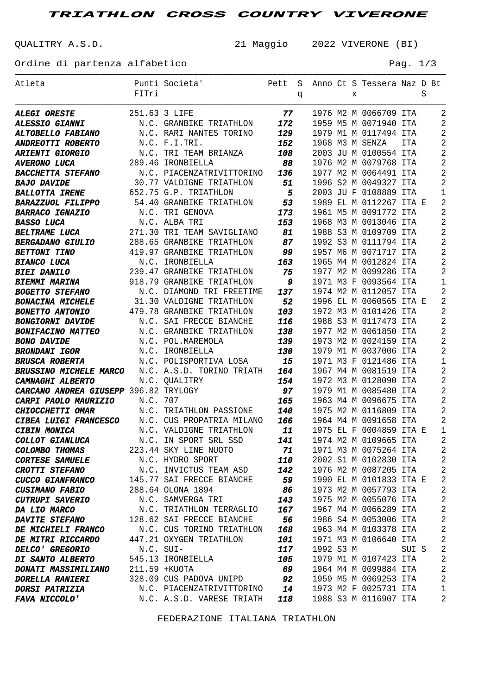**TRIATHLON CROSS COUNTRY VIVERONE**

QUALITRY A.S.D. 21 Maggio 2022 VIVERONE (BI)

Ordine di partenza alfabetico e e e e e e e e e e e e e e Pag. 1/3

| Atleta                                          | FITri    | Punti Societa'                             |                          |   |           |   | Pett S Anno Ct S Tessera Naz D Bt              |       |   |                                  |
|-------------------------------------------------|----------|--------------------------------------------|--------------------------|---|-----------|---|------------------------------------------------|-------|---|----------------------------------|
|                                                 |          |                                            |                          | q |           | X |                                                |       | S |                                  |
| <b>ALEGI ORESTE</b>                             |          | 251.63 3 LIFE                              | 77                       |   |           |   | 1976 M2 M 0066709 ITA                          |       |   | 2                                |
| <b>ALESSIO GIANNI</b>                           |          | N.C. GRANBIKE TRIATHLON                    | 172                      |   |           |   | 1959 M5 M 0071940 ITA                          |       |   | 2                                |
| ALTOBELLO FABIANO                               |          | N.C. RARI NANTES TORINO                    | 129                      |   |           |   | 1979 M1 M 0117494 ITA                          |       |   | $\overline{2}$                   |
| ANDREOTTI ROBERTO                               |          | N.C. F.I.TRI.                              | 152                      |   |           |   | 1968 M3 M SENZA                                | ITA   |   | $\overline{2}$                   |
| <b>ARIENTI GIORGIO</b>                          |          | N.C. TRI TEAM BRIANZA                      | 108                      |   |           |   | 2003 JU M 0100554 ITA                          |       |   | $\overline{2}$                   |
| <b>AVERONO LUCA</b>                             |          | 289.46 IRONBIELLA                          | 88                       |   |           |   | 1976 M2 M 0079768 ITA                          |       |   | 2                                |
| <b>BACCHETTA STEFANO</b>                        |          | N.C. PIACENZATRIVITTORINO                  | 136                      |   |           |   | 1977 M2 M 0064491 ITA                          |       |   | 2                                |
| <b>BAJO DAVIDE</b>                              |          | 30.77 VALDIGNE TRIATHLON                   | 51                       |   |           |   | 1996 S2 M 0049327 ITA                          |       |   | $\overline{2}$                   |
| <b>BALLOTTA IRENE</b>                           |          | 652.75 G.P. TRIATHLON                      | $\overline{\phantom{0}}$ |   |           |   | 2003 JU F 0108889 ITA                          |       |   | $1\,$                            |
| <b>BARAZZUOL FILIPPO</b>                        |          | 54.40 GRANBIKE TRIATHLON                   | 53                       |   |           |   | 1989 EL M 0112267 ITA E                        |       |   | $\overline{2}$                   |
| <b>BARRACO IGNAZIO</b>                          |          | N.C. TRI GENOVA                            | 173                      |   |           |   | 1961 M5 M 0091772 ITA                          |       |   | 2                                |
| <b>BASSO LUCA</b>                               |          | N.C. ALBA TRI                              | 153                      |   |           |   | 1968 M3 M 0013046 ITA                          |       |   | 2                                |
| <b>BELTRAME LUCA</b>                            |          | 271.30 TRI TEAM SAVIGLIANO                 | 81                       |   |           |   | 1988 S3 M 0109709 ITA                          |       |   | 2                                |
| <b>BERGADANO GIULIO</b>                         |          | 288.65 GRANBIKE TRIATHLON                  | 87                       |   |           |   | 1992 S3 M 0111794 ITA                          |       |   | 2                                |
| <b>BETTONI TINO</b>                             |          | 419.97 GRANBIKE TRIATHLON                  | وو                       |   |           |   | 1957 M6 M 0071717 ITA                          |       |   | 2                                |
| <b>BIANCO LUCA</b>                              |          | N.C. IRONBIELLA                            | 163                      |   |           |   | 1965 M4 M 0012824 ITA                          |       |   | $\overline{2}$                   |
| <b>BIEI DANILO</b>                              |          | 239.47 GRANBIKE TRIATHLON                  | 75                       |   |           |   | 1977 M2 M 0099286 ITA                          |       |   | $\overline{2}$                   |
| BIEMMI MARINA                                   |          | 918.79 GRANBIKE TRIATHLON                  | 9                        |   |           |   | 1971 M3 F 0093564 ITA                          |       |   | $\mathbf{1}$                     |
| <b>BOGETTO STEFANO</b>                          |          | N.C. DIAMOND TRI FREETIME                  | 137                      |   |           |   | 1974 M2 M 0112057 ITA                          |       |   | $\overline{2}$                   |
| <b>BONACINA MICHELE</b>                         |          | 31.30 VALDIGNE TRIATHLON                   | 52                       |   |           |   | 1996 EL M 0060565 ITA E                        |       |   | 2                                |
| <b>BONETTO ANTONIO</b>                          |          | 479.78 GRANBIKE TRIATHLON                  | 103                      |   |           |   | 1972 M3 M 0101426 ITA                          |       |   | 2                                |
| <b>BONGIORNI DAVIDE</b>                         |          | N.C. SAI FRECCE BIANCHE                    | 116                      |   |           |   | 1988 S3 M 0117473 ITA                          |       |   | 2                                |
| <b>BONIFACINO MATTEO</b>                        |          | N.C. GRANBIKE TRIATHLON                    | 138                      |   |           |   | 1977 M2 M 0061850 ITA                          |       |   | 2                                |
| <b>BONO DAVIDE</b>                              |          | N.C. POL.MAREMOLA                          | 139                      |   |           |   | 1973 M2 M 0024159 ITA                          |       |   | 2                                |
| <b>BRONDANI IGOR</b>                            |          | N.C. IRONBIELLA                            | 130                      |   |           |   | 1979 M1 M 0037006 ITA                          |       |   | $\overline{2}$                   |
| <b>BRUSCA ROBERTA</b>                           |          | N.C. POLISPORTIVA LOSA                     | 15                       |   |           |   | 1971 M3 F 0121486 ITA                          |       |   | $\mathbf{1}$                     |
| <b>BRUSSINO MICHELE MARCO</b>                   |          | N.C. A.S.D. TORINO TRIATH                  | 164                      |   |           |   | 1967 M4 M 0081519 ITA                          |       |   | 2                                |
| <b>CAMNAGHI ALBERTO</b>                         |          | N.C. QUALITRY                              | 154                      |   |           |   | 1972 M3 M 0128090 ITA                          |       |   | 2                                |
| <b>CARCANO ANDREA GIUSEPP</b> 396.82 TRYLOGY    |          |                                            | 97                       |   |           |   | 1979 M1 M 0085480 ITA                          |       |   | 2                                |
| CARPI PAOLO MAURIZIO                            | N.C. 707 |                                            | 165                      |   |           |   | 1963 M4 M 0096675 ITA                          |       |   | 2                                |
| CHIOCCHETTI OMAR                                |          | N.C. TRIATHLON PASSIONE                    | 140                      |   |           |   | 1975 M2 M 0116809 ITA                          |       |   | $\overline{2}$                   |
| <b>CIBEA LUIGI FRANCESCO</b>                    |          | N.C. CUS PROPATRIA MILANO                  | 166                      |   |           |   | 1964 M4 M 0091658 ITA                          |       |   | $\overline{2}$                   |
| <b>CIBIN MONICA</b>                             |          | N.C. VALDIGNE TRIATHLON                    | 11                       |   |           |   | 1975 EL F 0004859 ITA E                        |       |   | 1                                |
| COLLOT GIANLUCA                                 |          | N.C. IN SPORT SRL SSD                      | 141                      |   |           |   | 1974 M2 M 0109665 ITA                          |       |   | $\overline{2}$                   |
| <b>COLOMBO THOMAS</b>                           |          | 223.44 SKY LINE NUOTO                      | 71                       |   |           |   | 1971 M3 M 0075264 ITA                          |       |   | $\overline{2}$                   |
| <b>CORTESE SAMUELE</b><br><b>CROTTI STEFANO</b> |          | N.C. HYDRO SPORT<br>N.C. INVICTUS TEAM ASD | 110<br>142               |   |           |   | 2002 S1 M 0102830 ITA<br>1976 M2 M 0087205 ITA |       |   | $\overline{2}$<br>$\overline{2}$ |
| <b>CUCCO GIANFRANCO</b>                         |          | 145.77 SAI FRECCE BIANCHE                  | 59                       |   |           |   | 1990 EL M 0101833 ITA E                        |       |   | $\overline{2}$                   |
| <b>CUSIMANO FABIO</b>                           |          | 288.64 OLONA 1894                          | -86                      |   |           |   | 1973 M2 M 0057793 ITA                          |       |   | $\overline{2}$                   |
| <b>CUTRUPI SAVERIO</b>                          |          | N.C. SAMVERGA TRI                          | 143                      |   |           |   | 1975 M2 M 0055076 ITA                          |       |   | $\overline{2}$                   |
| DA LIO MARCO                                    |          | N.C. TRIATHLON TERRAGLIO                   | 167                      |   |           |   | 1967 M4 M 0066289 ITA                          |       |   | $\overline{2}$                   |
| <b>DAVITE STEFANO</b>                           |          | 128.62 SAI FRECCE BIANCHE                  | -56                      |   |           |   | 1986 S4 M 0053006 ITA                          |       |   | $\overline{2}$                   |
| <b>DE MICHIELI FRANCO</b>                       |          | N.C. CUS TORINO TRIATHLON                  | 168                      |   |           |   | 1963 M4 M 0103378 ITA                          |       |   | $\overline{2}$                   |
| <b>DE MITRI RICCARDO</b>                        |          | 447.21 OXYGEN TRIATHLON                    | 101                      |   |           |   | 1971 M3 M 0106640 ITA                          |       |   | $\overline{2}$                   |
| <b>DELCO' GREGORIO</b>                          |          | N.C. SUI-                                  | 117                      |   | 1992 S3 M |   |                                                | SUI S |   | $\overline{2}$                   |
| <b>DI SANTO ALBERTO</b>                         |          | 545.13 IRONBIELLA                          | 105                      |   |           |   | 1979 M1 M 0107423 ITA                          |       |   | $\overline{2}$                   |
| <b>DONATI MASSIMILIANO</b>                      |          | 211.59 +KUOTA                              | 69                       |   |           |   | 1964 M4 M 0099884 ITA                          |       |   | $\overline{2}$                   |
| <b>DORELLA RANIERI</b>                          |          | 328.09 CUS PADOVA UNIPD                    | 92                       |   |           |   | 1959 M5 M 0069253 ITA                          |       |   | $\overline{2}$                   |
| <b>DORSI PATRIZIA</b>                           |          | N.C. PIACENZATRIVITTORINO                  | 14                       |   |           |   | 1973 M2 F 0025731 ITA                          |       |   | $\mathbf{1}$                     |
| <b>FAVA NICCOLO'</b>                            |          | N.C. A.S.D. VARESE TRIATH                  | 118                      |   |           |   | 1988 S3 M 0116907 ITA                          |       |   | $\overline{2}$                   |

FEDERAZIONE ITALIANA TRIATHLON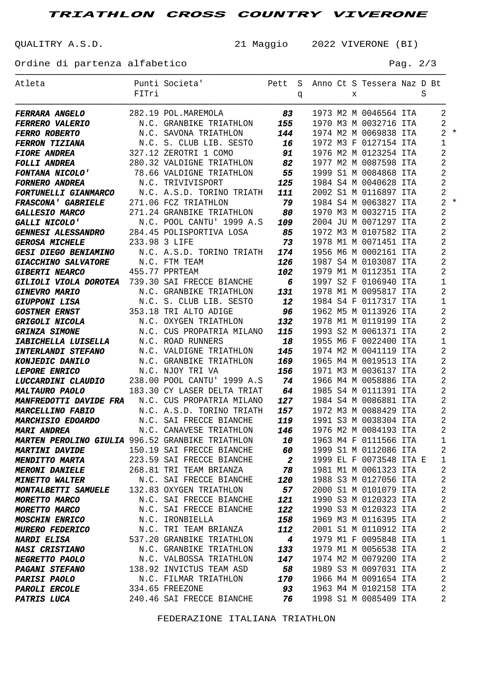**TRIATHLON CROSS COUNTRY VIVERONE**

QUALITRY A.S.D. 21 Maggio 2022 VIVERONE (BI)

Ordine di partenza alfabetico Pag. 2/3

| Atleta                                                  |       | Punti Societa'                                         | Pett                     |   |  |   | S Anno Ct S Tessera Naz D Bt                     |   |                |       |
|---------------------------------------------------------|-------|--------------------------------------------------------|--------------------------|---|--|---|--------------------------------------------------|---|----------------|-------|
|                                                         | FITri |                                                        |                          | q |  | X |                                                  | S |                |       |
|                                                         |       |                                                        |                          |   |  |   |                                                  |   |                |       |
| <b>FERRARA ANGELO</b>                                   |       | 282.19 POL.MAREMOLA 83                                 |                          |   |  |   | 1973 M2 M 0046564 ITA                            |   | 2              |       |
| <b>FERRERO VALERIO</b>                                  |       | N.C. GRANBIKE TRIATHLON                                | 155                      |   |  |   | 1970 M3 M 0032716 ITA                            |   | 2              |       |
| <b>FERRO ROBERTO</b>                                    |       | N.C. SAVONA TRIATHLON                                  | 144                      |   |  |   | 1974 M2 M 0069838 ITA                            |   |                | $2 *$ |
| FERRON TIZIANA                                          |       | N.C. S. CLUB LIB. SESTO                                | 16                       |   |  |   | 1972 M3 F 0127154 ITA                            |   | 1              |       |
| <b>FIORE ANDREA</b>                                     |       | 327.12 ZEROTRI 1 COMO                                  | 91                       |   |  |   | 1976 M2 M 0123254 ITA                            |   | 2              |       |
| <b>FOLLI ANDREA</b>                                     |       | 280.32 VALDIGNE TRIATHLON                              | 82                       |   |  |   | 1977 M2 M 0087598 ITA                            |   | 2              |       |
| FONTANA NICOLO'                                         |       | 78.66 VALDIGNE TRIATHLON                               | 55                       |   |  |   | 1999 S1 M 0084868 ITA                            |   | 2              |       |
| <b>FORNERO ANDREA</b>                                   |       | N.C. TRIVIVISPORT                                      | 125                      |   |  |   | 1984 S4 M 0040628 ITA                            |   | 2              |       |
| <b>FORTUNELLI GIANMARCO</b>                             |       | N.C. A.S.D. TORINO TRIATH                              | 111                      |   |  |   | 2002 S1 M 0116897 ITA                            |   | $\overline{c}$ |       |
| FRASCONA' GABRIELE 271.06 FCZ TRIATHLON                 |       |                                                        | - 79                     |   |  |   | 1984 S4 M 0063827 ITA                            |   |                | $2 *$ |
| <b>GALLESIO MARCO</b>                                   |       | 271.24 GRANBIKE TRIATHLON                              | 80                       |   |  |   | 1970 M3 M 0032715 ITA                            |   | $\overline{2}$ |       |
| <b>GALLI NICOLO'</b>                                    |       | N.C. POOL CANTU' 1999 A.S                              | 109                      |   |  |   | 2004 JU M 0071297 ITA                            |   | 2              |       |
| GENNESI ALESSANDRO 284.45 POLISPORTIVA LOSA             |       |                                                        | 85                       |   |  |   | 1972 M3 M 0107582 ITA                            |   | 2              |       |
| <b>GEROSA MICHELE</b>                                   |       | 233.98 3 LIFE                                          | - 73                     |   |  |   | 1978 M1 M 0071451 ITA                            |   | 2              |       |
| <b>GESI DIEGO BENIAMINO</b>                             |       | N.C. A.S.D. TORINO TRIATH                              | 174                      |   |  |   | 1956 M6 M 0002161 ITA                            |   | 2              |       |
| <b>GIACCHINO SALVATORE</b>                              |       | N.C. FTM TEAM                                          | 126                      |   |  |   | 1987 S4 M 0103087 ITA                            |   | 2              |       |
| <b>GIBERTI NEARCO</b>                                   |       | 455.77 PPRTEAM                                         | 102                      |   |  |   | 1979 M1 M 0112351 ITA                            |   | 2              |       |
| GILIOLI VIOLA DOROTEA 739.30 SAI FRECCE BIANCHE         |       |                                                        | $\overline{\phantom{a}}$ |   |  |   | 1997 S2 F 0106940 ITA                            |   | 1              |       |
| <b>GINEVRO MARIO</b>                                    |       | N.C. GRANBIKE TRIATHLON                                | 131                      |   |  |   | 1978 M1 M 0095817 ITA                            |   | 2              |       |
| <b>GIUPPONI LISA</b>                                    |       | N.C. S. CLUB LIB. SESTO                                | 12                       |   |  |   | 1984 S4 F 0117317 ITA                            |   | 1              |       |
| <b>GOSTNER ERNST</b>                                    |       | 353.18 TRI ALTO ADIGE                                  | - 96                     |   |  |   | 1962 M5 M 0113926 ITA                            |   | 2              |       |
| <b>GRIGOLI NICOLA</b>                                   |       | N.C. OXYGEN TRIATHLON                                  | 132                      |   |  |   | 1978 M1 M 0119199 ITA                            |   | 2              |       |
| <b>GRINZA SIMONE</b>                                    |       | N.C. CUS PROPATRIA MILANO                              | 115                      |   |  |   | 1993 S2 M 0061371 ITA                            |   | 2              |       |
| <b>IABICHELLA LUISELLA</b>                              |       | N.C. ROAD RUNNERS                                      | 18                       |   |  |   | 1955 M6 F 0022400 ITA                            |   | 1              |       |
| <b>INTERLANDI STEFANO</b>                               |       | N.C. VALDIGNE TRIATHLON                                | 145                      |   |  |   | 1974 M2 M 0041119 ITA                            |   | 2              |       |
| <b>KONJEDIC DANILO</b>                                  |       | N.C. GRANBIKE TRIATHLON                                | 169                      |   |  |   | 1965 M4 M 0019513 ITA                            |   | 2              |       |
| <b>LEPORE ENRICO</b>                                    |       | N.C. NJOY TRI VA                                       | 156                      |   |  |   | 1971 M3 M 0036137 ITA                            |   | 2              |       |
| LUCCARDINI CLAUDIO                                      |       | 238.00 POOL CANTU' 1999 A.S                            | 74                       |   |  |   | 1966 M4 M 0058886 ITA                            |   | 2              |       |
| <b>MALTAURO PAOLO</b>                                   |       | 183.30 CY LASER DELTA TRIAT                            | 64                       |   |  |   | 1985 S4 M 0111391 ITA                            |   | 2              |       |
| <b>MANFREDOTTI DAVIDE FRA</b> N.C. CUS PROPATRIA MILANO |       |                                                        | 127                      |   |  |   | 1984 S4 M 0086881 ITA                            |   | 2              |       |
| <b>MARCELLINO FABIO</b>                                 |       | N.C. A.S.D. TORINO TRIATH                              | 157                      |   |  |   | 1972 M3 M 0088429 ITA                            |   | 2              |       |
| <b>MARCHISIO EDOARDO</b> N.C. SAI FRECCE BIANCHE        |       |                                                        | 119                      |   |  |   | 1991 S3 M 0038304 ITA                            |   | 2              |       |
| <b>MARI ANDREA</b>                                      |       | N.C. CANAVESE TRIATHLON                                | 146                      |   |  |   | 1976 M2 M 0084193 ITA                            |   | 2              |       |
| MARTEN PEROLINO GIULIA 996.52 GRANBIKE TRIATHLON        |       |                                                        | 10                       |   |  |   | 1963 M4 F 0111566 ITA                            |   | $\overline{1}$ |       |
| <b>MARTINI DAVIDE</b><br><b>MENDITTO MARTA</b>          |       | 150.19 SAI FRECCE BIANCHE<br>223.59 SAI FRECCE BIANCHE | 60<br>$\boldsymbol{2}$   |   |  |   | 1999 S1 M 0112086 ITA<br>1999 EL F 0073548 ITA E |   | 2              |       |
| <b>MERONI DANIELE</b>                                   |       | 268.81 TRI TEAM BRIANZA                                | 78                       |   |  |   | 1981 M1 M 0061323 ITA                            |   | 1<br>2         |       |
| <b>MINETTO WALTER</b>                                   |       | N.C. SAI FRECCE BIANCHE                                | 120                      |   |  |   | 1988 S3 M 0127056 ITA                            |   | 2              |       |
| <b>MONTALBETTI SAMUELE</b>                              |       | 132.83 OXYGEN TRIATHLON                                | 57                       |   |  |   | 2000 S1 M 0101079 ITA                            |   | 2              |       |
| <b>MORETTO MARCO</b>                                    |       | N.C. SAI FRECCE BIANCHE                                | 121                      |   |  |   | 1990 S3 M 0120323 ITA                            |   | $\overline{c}$ |       |
| <b>MORETTO MARCO</b>                                    |       | N.C. SAI FRECCE BIANCHE                                | 122                      |   |  |   | 1990 S3 M 0120323 ITA                            |   | $\overline{c}$ |       |
| <b>MOSCHIN ENRICO</b>                                   |       | N.C. IRONBIELLA                                        | 158                      |   |  |   | 1969 M3 M 0116395 ITA                            |   | $\overline{c}$ |       |
| <b>MURERO FEDERICO</b>                                  |       | N.C. TRI TEAM BRIANZA                                  | 112                      |   |  |   | 2001 S1 M 0110912 ITA                            |   | $\overline{c}$ |       |
| <b>NARDI ELISA</b>                                      |       | 537.20 GRANBIKE TRIATHLON                              | $\boldsymbol{4}$         |   |  |   | 1979 M1 F 0095848 ITA                            |   | 1              |       |
| <b>NASI CRISTIANO</b>                                   |       | N.C. GRANBIKE TRIATHLON                                | 133                      |   |  |   | 1979 M1 M 0056538 ITA                            |   | 2              |       |
| <b>NEGRETTO PAOLO</b>                                   |       | N.C. VALBOSSA TRIATHLON                                | 147                      |   |  |   | 1974 M2 M 0079200 ITA                            |   | $\overline{c}$ |       |
| <b>PAGANI STEFANO</b>                                   |       | 138.92 INVICTUS TEAM ASD                               | 58                       |   |  |   | 1989 S3 M 0097031 ITA                            |   | $\overline{c}$ |       |
| <b>PARISI PAOLO</b>                                     |       | N.C. FILMAR TRIATHLON                                  | 170                      |   |  |   | 1966 M4 M 0091654 ITA                            |   | 2              |       |
| <b>PAROLI ERCOLE</b>                                    |       | 334.65 FREEZONE                                        | 93                       |   |  |   | 1963 M4 M 0102158 ITA                            |   | 2              |       |
| <b>PATRIS LUCA</b>                                      |       | 240.46 SAI FRECCE BIANCHE                              | 76                       |   |  |   | 1998 S1 M 0085409 ITA                            |   | 2              |       |
|                                                         |       |                                                        |                          |   |  |   |                                                  |   |                |       |

FEDERAZIONE ITALIANA TRIATHLON